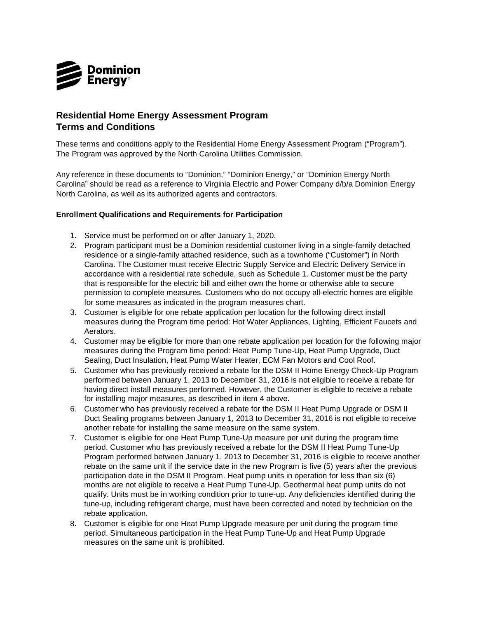

## **Residential Home Energy Assessment Program Terms and Conditions**

These terms and conditions apply to the Residential Home Energy Assessment Program ("Program"). The Program was approved by the North Carolina Utilities Commission.

Any reference in these documents to "Dominion," "Dominion Energy," or "Dominion Energy North Carolina" should be read as a reference to Virginia Electric and Power Company d/b/a Dominion Energy North Carolina, as well as its authorized agents and contractors.

## **Enrollment Qualifications and Requirements for Participation**

- 1. Service must be performed on or after January 1, 2020.
- residence or a single-family attached residence, such as a townhome ("Customer") in North 2. Program participant must be a Dominion residential customer living in a single-family detached Carolina. The Customer must receive Electric Supply Service and Electric Delivery Service in accordance with a residential rate schedule, such as Schedule 1. Customer must be the party that is responsible for the electric bill and either own the home or otherwise able to secure permission to complete measures. Customers who do not occupy all-electric homes are eligible for some measures as indicated in the program measures chart.
- 3. Customer is eligible for one rebate application per location for the following direct install measures during the Program time period: Hot Water Appliances, Lighting, Efficient Faucets and Aerators.
- measures during the Program time period: Heat Pump Tune-Up, Heat Pump Upgrade, Duct 4. Customer may be eligible for more than one rebate application per location for the following major Sealing, Duct Insulation, Heat Pump Water Heater, ECM Fan Motors and Cool Roof.
- 5. Customer who has previously received a rebate for the DSM II Home Energy Check-Up Program performed between January 1, 2013 to December 31, 2016 is not eligible to receive a rebate for having direct install measures performed. However, the Customer is eligible to receive a rebate for installing major measures, as described in item 4 above.
- Duct Sealing programs between January 1, 2013 to December 31, 2016 is not eligible to receive 6. Customer who has previously received a rebate for the DSM II Heat Pump Upgrade or DSM II another rebate for installing the same measure on the same system.
- Program performed between January 1, 2013 to December 31, 2016 is eligible to receive another rebate on the same unit if the service date in the new Program is five (5) years after the previous participation date in the DSM II Program. Heat pump units in operation for less than six (6) 7. Customer is eligible for one Heat Pump Tune-Up measure per unit during the program time period. Customer who has previously received a rebate for the DSM II Heat Pump Tune-Up months are not eligible to receive a Heat Pump Tune-Up. Geothermal heat pump units do not qualify. Units must be in working condition prior to tune-up. Any deficiencies identified during the tune-up, including refrigerant charge, must have been corrected and noted by technician on the rebate application.
- 8. Customer is eligible for one Heat Pump Upgrade measure per unit during the program time period. Simultaneous participation in the Heat Pump Tune-Up and Heat Pump Upgrade measures on the same unit is prohibited.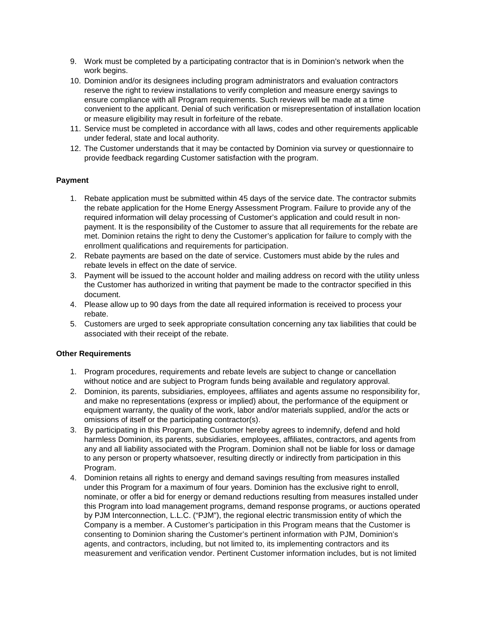- 9. Work must be completed by a participating contractor that is in Dominion's network when the work begins.
- 10. Dominion and/or its designees including program administrators and evaluation contractors reserve the right to review installations to verify completion and measure energy savings to ensure compliance with all Program requirements. Such reviews will be made at a time convenient to the applicant. Denial of such verification or misrepresentation of installation location or measure eligibility may result in forfeiture of the rebate.
- 11. Service must be completed in accordance with all laws, codes and other requirements applicable under federal, state and local authority.
- provide feedback regarding Customer satisfaction with the program. 12. The Customer understands that it may be contacted by Dominion via survey or questionnaire to

## **Payment**

- 1. Rebate application must be submitted within 45 days of the service date. The contractor submits the rebate application for the Home Energy Assessment Program. Failure to provide any of the required information will delay processing of Customer's application and could result in nonpayment. It is the responsibility of the Customer to assure that all requirements for the rebate are met. Dominion retains the right to deny the Customer's application for failure to comply with the enrollment qualifications and requirements for participation.
- 2. Rebate payments are based on the date of service. Customers must abide by the rules and rebate levels in effect on the date of service.
- 3. Payment will be issued to the account holder and mailing address on record with the utility unless the Customer has authorized in writing that payment be made to the contractor specified in this document.
- 4. Please allow up to 90 days from the date all required information is received to process your rebate.
- 5. Customers are urged to seek appropriate consultation concerning any tax liabilities that could be associated with their receipt of the rebate.

## **Other Requirements**

- without notice and are subject to Program funds being available and regulatory approval. 1. Program procedures, requirements and rebate levels are subject to change or cancellation
- 2. Dominion, its parents, subsidiaries, employees, affiliates and agents assume no responsibility for, and make no representations (express or implied) about, the performance of the equipment or equipment warranty, the quality of the work, labor and/or materials supplied, and/or the acts or omissions of itself or the participating contractor(s).
- any and all liability associated with the Program. Dominion shall not be liable for loss or damage 3. By participating in this Program, the Customer hereby agrees to indemnify, defend and hold harmless Dominion, its parents, subsidiaries, employees, affiliates, contractors, and agents from to any person or property whatsoever, resulting directly or indirectly from participation in this Program.
- under this Program for a maximum of four years. Dominion has the exclusive right to enroll, nominate, or offer a bid for energy or demand reductions resulting from measures installed under Company is a member. A Customer's participation in this Program means that the Customer is agents, and contractors, including, but not limited to, its implementing contractors and its measurement and verification vendor. Pertinent Customer information includes, but is not limited 4. Dominion retains all rights to energy and demand savings resulting from measures installed this Program into load management programs, demand response programs, or auctions operated by PJM Interconnection, L.L.C. ("PJM"), the regional electric transmission entity of which the consenting to Dominion sharing the Customer's pertinent information with PJM, Dominion's